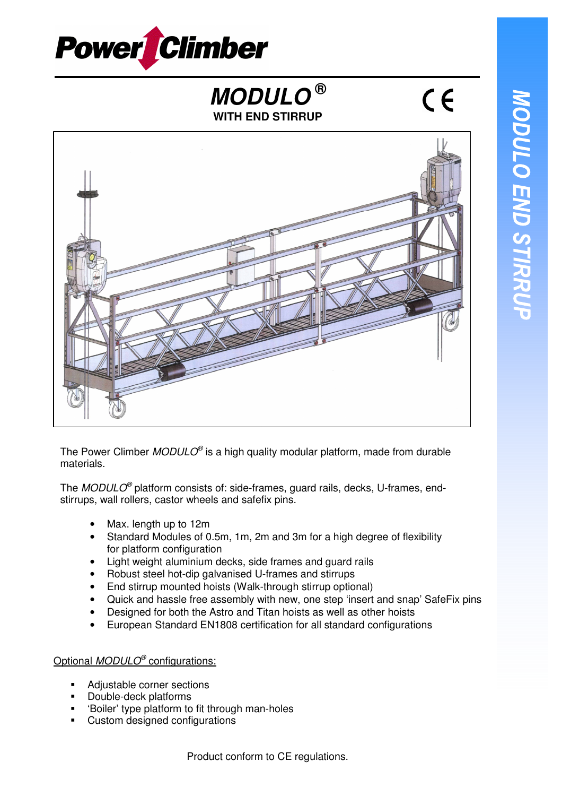

## **MODULO ® WITH END STIRRUP**



The Power Climber  $MODULO^{\circ}$  is a high quality modular platform, made from durable materials.

The *MODULO*<sup>®</sup> platform consists of: side-frames, quard rails, decks, U-frames, endstirrups, wall rollers, castor wheels and safefix pins.

- Max. length up to 12m
- Standard Modules of 0.5m, 1m, 2m and 3m for a high degree of flexibility for platform configuration
- Light weight aluminium decks, side frames and guard rails
- Robust steel hot-dip galvanised U-frames and stirrups
- End stirrup mounted hoists (Walk-through stirrup optional)
- Quick and hassle free assembly with new, one step 'insert and snap' SafeFix pins
- Designed for both the Astro and Titan hoists as well as other hoists
- European Standard EN1808 certification for all standard configurations

## Optional MODULO® configurations:

- Adjustable corner sections
- Double-deck platforms
- 'Boiler' type platform to fit through man-holes
- Custom designed configurations

 $C \in$ 

## Product conform to CE regulations.